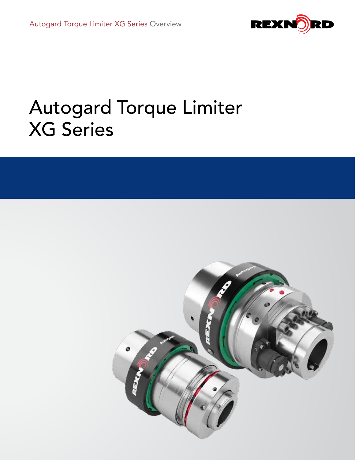

# Autogard Torque Limiter XG Series

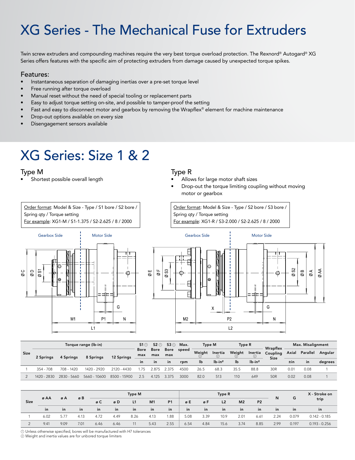## XG Series - The Mechanical Fuse for Extruders

Twin screw extruders and compounding machines require the very best torque overload protection. The Rexnord® Autogard® XG Series offers features with the specific aim of protecting extruders from damage caused by unexpected torque spikes.

#### Features:

- Instantaneous separation of damaging inertias over a pre-set torque level
- Free running after torque overload
- Manual reset without the need of special tooling or replacement parts
- Easy to adjust torque setting on-site, and possible to tamper-proof the setting
- Fast and easy to disconnect motor and gearbox by removing the Wrapflex® element for machine maintenance
- Drop-out options available on every size
- Disengagement sensors available

### XG Series: Size 1 & 2

Order format: Model & Size - Type / S1 bore / S2 bore /

For example: XG1-M / S1-1.375 / S2-2.625 / 8 / 2000

### Type M Type R

Spring qty / Torque setting

- Shortest possible overall length Allows for large motor shaft sizes
	- Drop-out the torque limiting coupling without moving motor or gearbox

Order format: Model & Size - Type / S2 bore / S3 bore / Spring qty / Torque setting For example: XG1-R / S3-2.000 / S2-2.625 / 8 / 2000





| <b>Size</b> | Torque range (lb-in) |             |              |              |                 | 53 ①<br>$51 \odot$         |             | Max.  | <b>Type M</b>         |         | Type R                |              | Wrapflex         | Max. Misalignment |          |         |
|-------------|----------------------|-------------|--------------|--------------|-----------------|----------------------------|-------------|-------|-----------------------|---------|-----------------------|--------------|------------------|-------------------|----------|---------|
|             | 2 Springs            | 4 Springs   | 8 Springs    | 12 Springs   | max             | <b>Bore</b><br>Bore<br>max | Bore<br>max | speed | Weiaht<br>$\circ$     | Inertia | Weiaht                | Inertia<br>➁ | Coupling<br>Size | Axial             | Parallel | Angular |
|             |                      |             |              |              | in<br><i>in</i> | <i>in</i>                  | rpm         | lb    | $lb$ -in <sup>2</sup> | lb      | $lb$ -in <sup>2</sup> |              | $\pm$ in         | in.               | degrees  |         |
|             | $354 - 708$          | 708 - 1420  | 1420 - 2920  | 2120 - 4430  | 75              | ን ጸ75                      | 375         | 4500  | 26.5                  | 68.3    | 35.5                  | 88.8         | 30 <sub>R</sub>  | 0.01              | 0.08     |         |
|             | 1420 - 2830          | 2830 - 5660 | 5660 - 10600 | 8500 - 15900 | 2.5             | 4.125                      | 3.375       | 3000  | 82.0                  | 513     | 110                   | 649          | 50 <sub>R</sub>  | 0.02              | 0.08     |         |

| <b>Size</b> | ø AA      | øΑ            | øΒ   |           | Type M |           |                | Type R    |      |      |                |                | N              | G    | X - Stroke on |                 |
|-------------|-----------|---------------|------|-----------|--------|-----------|----------------|-----------|------|------|----------------|----------------|----------------|------|---------------|-----------------|
|             |           |               |      | øC        | øD     | L1        | M <sub>1</sub> | <b>P1</b> | øΕ   | øF   | L <sub>2</sub> | M <sub>2</sub> | P <sub>2</sub> |      |               | trip            |
|             | <i>in</i> | $\mathsf{in}$ | in   | <b>in</b> | in     | <i>in</i> | in.            | in        | in   | in   | $\mathsf{in}$  | in             | <i>in</i>      | in   | <b>in</b>     | in              |
|             | 6.02      | 5.77          | 4.13 | 4.72      | 4.49   | 8.26      | 4.13           | 1.88      | 5.08 | 3.39 | 10.9           | 2.01           | 6.61           | 2.24 | 0.079         | $0.142 - 0.185$ |
|             | 9.41      | 9.09          | 7.01 | 6.46      | 6.46   |           | 5.43           | 2.55      | 6.54 | 4.84 | 15.6           | 3.74           | 8.85           | 2.99 | 0.197         | $0.193 - 0.256$ |

 ${\mathbb D}$  Unless otherwise specified, bores will be manufactured with H7 tolerances Weight and inertia values are for unbored torque limiters 2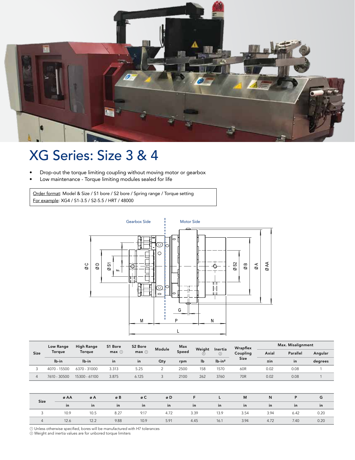

### XG Series: Size 3 & 4

- Drop-out the torque limiting coupling without moving motor or gearbox
- Low maintenance Torque limiting modules sealed for life

Order format: Model & Size / S1 bore / S2 bore / Spring range / Torque setting For example: XG4 / S1-3.5 / S2-5.5 / HRT / 48000



| <b>Size</b> | Low Range    | <b>High Range</b> | S1 Bore<br>$max$ $\odot$<br><i>in</i> | S2 Bore       | Module<br>Qty | Max<br>Speed<br>rpm | Weiaht<br>lb | Inertia<br>➁<br>$lb$ -in <sup>2</sup> | Wrapflex<br>Coupling<br><b>Size</b> | Max. Misalignment |                 |         |  |
|-------------|--------------|-------------------|---------------------------------------|---------------|---------------|---------------------|--------------|---------------------------------------|-------------------------------------|-------------------|-----------------|---------|--|
|             | Torque       | Torque            |                                       | $max$ $\odot$ |               |                     |              |                                       |                                     | Axial             | <b>Parallel</b> | Angular |  |
|             | lb-in        | lb-in             |                                       | <i>in</i>     |               |                     |              |                                       |                                     | $\pm$ in          | in              | degrees |  |
|             | 4070 - 15500 | 6370 - 31000      | 3.313                                 | 5.25          |               | 2500                | 158          | 1570                                  | 60R                                 | 0.02              | 0.08            |         |  |
| Δ           | 7610 - 30500 | 15300 - 61100     | 3.875                                 | 6.125         |               | 2100                | 262          | 3760                                  | 70 <sub>R</sub>                     | 0.02              | 0.08            |         |  |

| Size | øΑA                                          | øΑ            | $\oslash$ B $\oslash$ B $\oslash$ B $\oslash$ B $\oslash$ B $\oslash$ B $\oslash$ B $\oslash$ B $\oslash$ B $\oslash$ B $\oslash$ B $\oslash$ B $\oslash$ B $\oslash$ B $\oslash$ B $\oslash$ B $\oslash$ B $\oslash$ B $\oslash$ B $\oslash$ B $\oslash$ B $\oslash$ B $\oslash$ B $\oslash$ B $\oslash$ B $\oslash$ B $\oslash$ B $\oslash$ |      | øD   |                                                                                                                | and <b>F L L</b> | M    |                                                                                                                      | $N$ $P$       |       |
|------|----------------------------------------------|---------------|-----------------------------------------------------------------------------------------------------------------------------------------------------------------------------------------------------------------------------------------------------------------------------------------------------------------------------------------------|------|------|----------------------------------------------------------------------------------------------------------------|------------------|------|----------------------------------------------------------------------------------------------------------------------|---------------|-------|
|      | in                                           | $\mathbf{in}$ | $\mathbf{r} = \mathbf{r}$ in                                                                                                                                                                                                                                                                                                                  |      |      | e a single in the single in the single state in the single state in the single state in the single state in th |                  |      | <b>a</b> in the set of the set of the set of the set of the set of the set of the set of the set of the set of the s | $\mathsf{in}$ | in in |
|      | 10.9 10.5 8.27 9.17 4.72 3.39 13.9 3.54 3.94 |               |                                                                                                                                                                                                                                                                                                                                               |      |      |                                                                                                                |                  |      |                                                                                                                      | 6.42          | 0.20  |
|      | 12.6                                         | 12.2          | 9.88                                                                                                                                                                                                                                                                                                                                          | 10.9 | 5.91 | 4.45                                                                                                           | 16.1             | 3.94 | 4.72                                                                                                                 | 7.40          | 0.20  |

 ${\mathbb D}$  Unless otherwise specified, bores will be manufactured with H7 tolerances

Weight and inertia values are for unbored torque limiters 2